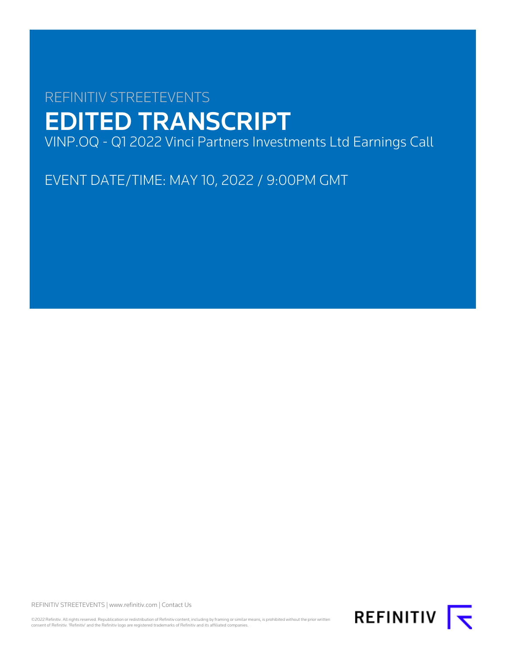# REFINITIV STREETEVENTS EDITED TRANSCRIPT VINP.OQ - Q1 2022 Vinci Partners Investments Ltd Earnings Call

EVENT DATE/TIME: MAY 10, 2022 / 9:00PM GMT

REFINITIV STREETEVENTS | [www.refinitiv.com](https://www.refinitiv.com/) | [Contact Us](https://www.refinitiv.com/en/contact-us)

©2022 Refinitiv. All rights reserved. Republication or redistribution of Refinitiv content, including by framing or similar means, is prohibited without the prior written<br>consent of Refinitiv. 'Refinitiv' and the Refinitiv

REFINITIV **I**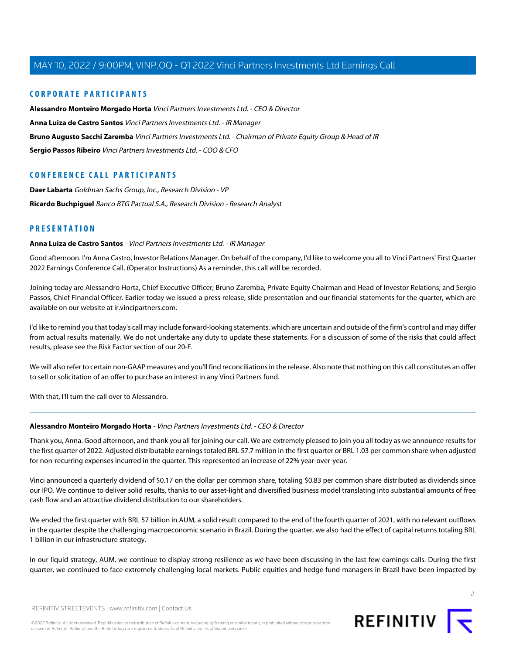### **CORPORATE PARTICIPANTS**

**[Alessandro Monteiro Morgado Horta](#page-1-0)** Vinci Partners Investments Ltd. - CEO & Director **[Anna Luiza de Castro Santos](#page-1-1)** Vinci Partners Investments Ltd. - IR Manager **[Bruno Augusto Sacchi Zaremba](#page-3-0)** Vinci Partners Investments Ltd. - Chairman of Private Equity Group & Head of IR **[Sergio Passos Ribeiro](#page-5-0)** Vinci Partners Investments Ltd. - COO & CFO

### **CONFERENCE CALL PARTICIPANTS**

**[Daer Labarta](#page-6-0)** Goldman Sachs Group, Inc., Research Division - VP **[Ricardo Buchpiguel](#page-8-0)** Banco BTG Pactual S.A., Research Division - Research Analyst

### <span id="page-1-1"></span>**PRESENTATION**

#### **Anna Luiza de Castro Santos** - Vinci Partners Investments Ltd. - IR Manager

Good afternoon. I'm Anna Castro, Investor Relations Manager. On behalf of the company, I'd like to welcome you all to Vinci Partners' First Quarter 2022 Earnings Conference Call. (Operator Instructions) As a reminder, this call will be recorded.

Joining today are Alessandro Horta, Chief Executive Officer; Bruno Zaremba, Private Equity Chairman and Head of Investor Relations; and Sergio Passos, Chief Financial Officer. Earlier today we issued a press release, slide presentation and our financial statements for the quarter, which are available on our website at ir.vincipartners.com.

I'd like to remind you that today's call may include forward-looking statements, which are uncertain and outside of the firm's control and may differ from actual results materially. We do not undertake any duty to update these statements. For a discussion of some of the risks that could affect results, please see the Risk Factor section of our 20-F.

We will also refer to certain non-GAAP measures and you'll find reconciliations in the release. Also note that nothing on this call constitutes an offer to sell or solicitation of an offer to purchase an interest in any Vinci Partners fund.

<span id="page-1-0"></span>With that, I'll turn the call over to Alessandro.

#### **Alessandro Monteiro Morgado Horta** - Vinci Partners Investments Ltd. - CEO & Director

Thank you, Anna. Good afternoon, and thank you all for joining our call. We are extremely pleased to join you all today as we announce results for the first quarter of 2022. Adjusted distributable earnings totaled BRL 57.7 million in the first quarter or BRL 1.03 per common share when adjusted for non-recurring expenses incurred in the quarter. This represented an increase of 22% year-over-year.

Vinci announced a quarterly dividend of \$0.17 on the dollar per common share, totaling \$0.83 per common share distributed as dividends since our IPO. We continue to deliver solid results, thanks to our asset-light and diversified business model translating into substantial amounts of free cash flow and an attractive dividend distribution to our shareholders.

We ended the first quarter with BRL 57 billion in AUM, a solid result compared to the end of the fourth quarter of 2021, with no relevant outflows in the quarter despite the challenging macroeconomic scenario in Brazil. During the quarter, we also had the effect of capital returns totaling BRL 1 billion in our infrastructure strategy.

In our liquid strategy, AUM, we continue to display strong resilience as we have been discussing in the last few earnings calls. During the first quarter, we continued to face extremely challenging local markets. Public equities and hedge fund managers in Brazil have been impacted by

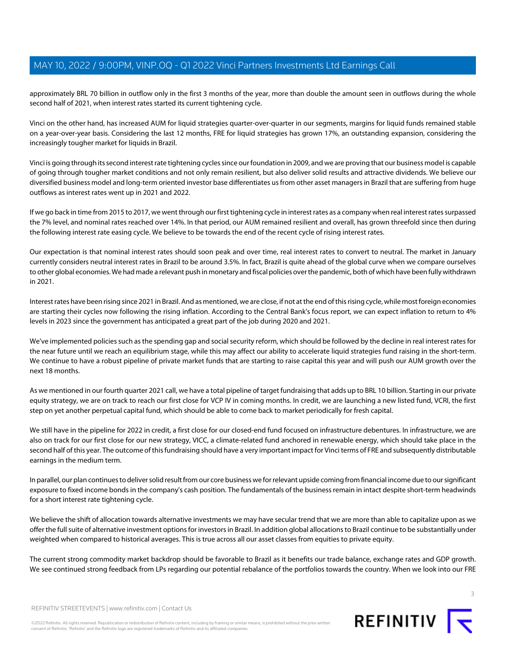approximately BRL 70 billion in outflow only in the first 3 months of the year, more than double the amount seen in outflows during the whole second half of 2021, when interest rates started its current tightening cycle.

Vinci on the other hand, has increased AUM for liquid strategies quarter-over-quarter in our segments, margins for liquid funds remained stable on a year-over-year basis. Considering the last 12 months, FRE for liquid strategies has grown 17%, an outstanding expansion, considering the increasingly tougher market for liquids in Brazil.

Vinci is going through its second interest rate tightening cycles since our foundation in 2009, and we are proving that our business model is capable of going through tougher market conditions and not only remain resilient, but also deliver solid results and attractive dividends. We believe our diversified business model and long-term oriented investor base differentiates us from other asset managers in Brazil that are suffering from huge outflows as interest rates went up in 2021 and 2022.

If we go back in time from 2015 to 2017, we went through our first tightening cycle in interest rates as a company when real interest rates surpassed the 7% level, and nominal rates reached over 14%. In that period, our AUM remained resilient and overall, has grown threefold since then during the following interest rate easing cycle. We believe to be towards the end of the recent cycle of rising interest rates.

Our expectation is that nominal interest rates should soon peak and over time, real interest rates to convert to neutral. The market in January currently considers neutral interest rates in Brazil to be around 3.5%. In fact, Brazil is quite ahead of the global curve when we compare ourselves to other global economies. We had made a relevant push in monetary and fiscal policies over the pandemic, both of which have been fully withdrawn in 2021.

Interest rates have been rising since 2021 in Brazil. And as mentioned, we are close, if not at the end of this rising cycle, while most foreign economies are starting their cycles now following the rising inflation. According to the Central Bank's focus report, we can expect inflation to return to 4% levels in 2023 since the government has anticipated a great part of the job during 2020 and 2021.

We've implemented policies such as the spending gap and social security reform, which should be followed by the decline in real interest rates for the near future until we reach an equilibrium stage, while this may affect our ability to accelerate liquid strategies fund raising in the short-term. We continue to have a robust pipeline of private market funds that are starting to raise capital this year and will push our AUM growth over the next 18 months.

As we mentioned in our fourth quarter 2021 call, we have a total pipeline of target fundraising that adds up to BRL 10 billion. Starting in our private equity strategy, we are on track to reach our first close for VCP IV in coming months. In credit, we are launching a new listed fund, VCRI, the first step on yet another perpetual capital fund, which should be able to come back to market periodically for fresh capital.

We still have in the pipeline for 2022 in credit, a first close for our closed-end fund focused on infrastructure debentures. In infrastructure, we are also on track for our first close for our new strategy, VICC, a climate-related fund anchored in renewable energy, which should take place in the second half of this year. The outcome of this fundraising should have a very important impact for Vinci terms of FRE and subsequently distributable earnings in the medium term.

In parallel, our plan continues to deliver solid result from our core business we for relevant upside coming from financial income due to our significant exposure to fixed income bonds in the company's cash position. The fundamentals of the business remain in intact despite short-term headwinds for a short interest rate tightening cycle.

We believe the shift of allocation towards alternative investments we may have secular trend that we are more than able to capitalize upon as we offer the full suite of alternative investment options for investors in Brazil. In addition global allocations to Brazil continue to be substantially under weighted when compared to historical averages. This is true across all our asset classes from equities to private equity.

The current strong commodity market backdrop should be favorable to Brazil as it benefits our trade balance, exchange rates and GDP growth. We see continued strong feedback from LPs regarding our potential rebalance of the portfolios towards the country. When we look into our FRE



3

REFINITIV STREETEVENTS | [www.refinitiv.com](https://www.refinitiv.com/) | [Contact Us](https://www.refinitiv.com/en/contact-us)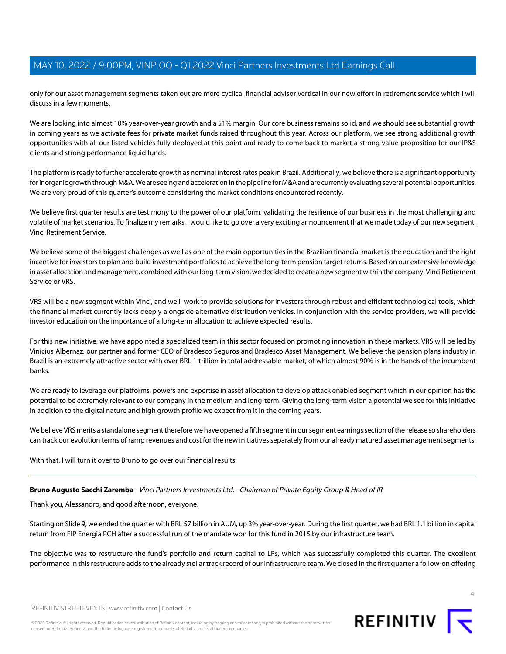only for our asset management segments taken out are more cyclical financial advisor vertical in our new effort in retirement service which I will discuss in a few moments.

We are looking into almost 10% year-over-year growth and a 51% margin. Our core business remains solid, and we should see substantial growth in coming years as we activate fees for private market funds raised throughout this year. Across our platform, we see strong additional growth opportunities with all our listed vehicles fully deployed at this point and ready to come back to market a strong value proposition for our IP&S clients and strong performance liquid funds.

The platform is ready to further accelerate growth as nominal interest rates peak in Brazil. Additionally, we believe there is a significant opportunity for inorganic growth through M&A. We are seeing and acceleration in the pipeline for M&A and are currently evaluating several potential opportunities. We are very proud of this quarter's outcome considering the market conditions encountered recently.

We believe first quarter results are testimony to the power of our platform, validating the resilience of our business in the most challenging and volatile of market scenarios. To finalize my remarks, I would like to go over a very exciting announcement that we made today of our new segment, Vinci Retirement Service.

We believe some of the biggest challenges as well as one of the main opportunities in the Brazilian financial market is the education and the right incentive for investors to plan and build investment portfolios to achieve the long-term pension target returns. Based on our extensive knowledge in asset allocation and management, combined with our long-term vision, we decided to create a new segment within the company, Vinci Retirement Service or VRS.

VRS will be a new segment within Vinci, and we'll work to provide solutions for investors through robust and efficient technological tools, which the financial market currently lacks deeply alongside alternative distribution vehicles. In conjunction with the service providers, we will provide investor education on the importance of a long-term allocation to achieve expected results.

For this new initiative, we have appointed a specialized team in this sector focused on promoting innovation in these markets. VRS will be led by Vinicius Albernaz, our partner and former CEO of Bradesco Seguros and Bradesco Asset Management. We believe the pension plans industry in Brazil is an extremely attractive sector with over BRL 1 trillion in total addressable market, of which almost 90% is in the hands of the incumbent banks.

We are ready to leverage our platforms, powers and expertise in asset allocation to develop attack enabled segment which in our opinion has the potential to be extremely relevant to our company in the medium and long-term. Giving the long-term vision a potential we see for this initiative in addition to the digital nature and high growth profile we expect from it in the coming years.

<span id="page-3-0"></span>We believe VRS merits a standalone segment therefore we have opened a fifth segment in our segment earnings section of the release so shareholders can track our evolution terms of ramp revenues and cost for the new initiatives separately from our already matured asset management segments.

With that, I will turn it over to Bruno to go over our financial results.

### **Bruno Augusto Sacchi Zaremba** - Vinci Partners Investments Ltd. - Chairman of Private Equity Group & Head of IR

Thank you, Alessandro, and good afternoon, everyone.

Starting on Slide 9, we ended the quarter with BRL 57 billion in AUM, up 3% year-over-year. During the first quarter, we had BRL 1.1 billion in capital return from FIP Energia PCH after a successful run of the mandate won for this fund in 2015 by our infrastructure team.

The objective was to restructure the fund's portfolio and return capital to LPs, which was successfully completed this quarter. The excellent performance in this restructure adds to the already stellar track record of our infrastructure team. We closed in the first quarter a follow-on offering

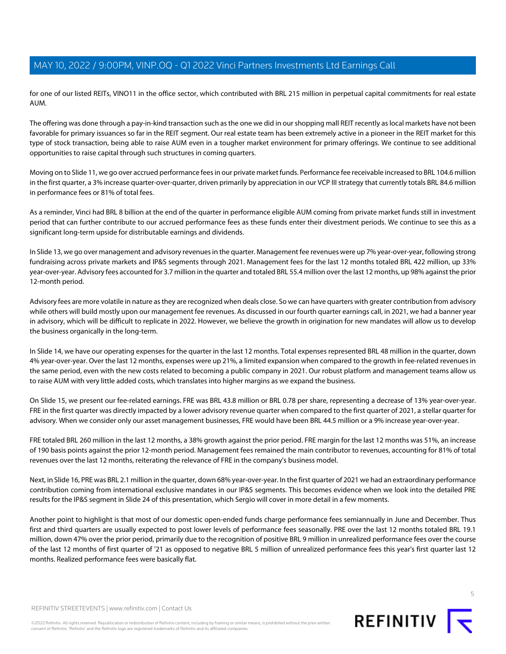for one of our listed REITs, VINO11 in the office sector, which contributed with BRL 215 million in perpetual capital commitments for real estate AUM.

The offering was done through a pay-in-kind transaction such as the one we did in our shopping mall REIT recently as local markets have not been favorable for primary issuances so far in the REIT segment. Our real estate team has been extremely active in a pioneer in the REIT market for this type of stock transaction, being able to raise AUM even in a tougher market environment for primary offerings. We continue to see additional opportunities to raise capital through such structures in coming quarters.

Moving on to Slide 11, we go over accrued performance fees in our private market funds. Performance fee receivable increased to BRL 104.6 million in the first quarter, a 3% increase quarter-over-quarter, driven primarily by appreciation in our VCP III strategy that currently totals BRL 84.6 million in performance fees or 81% of total fees.

As a reminder, Vinci had BRL 8 billion at the end of the quarter in performance eligible AUM coming from private market funds still in investment period that can further contribute to our accrued performance fees as these funds enter their divestment periods. We continue to see this as a significant long-term upside for distributable earnings and dividends.

In Slide 13, we go over management and advisory revenues in the quarter. Management fee revenues were up 7% year-over-year, following strong fundraising across private markets and IP&S segments through 2021. Management fees for the last 12 months totaled BRL 422 million, up 33% year-over-year. Advisory fees accounted for 3.7 million in the quarter and totaled BRL 55.4 million over the last 12 months, up 98% against the prior 12-month period.

Advisory fees are more volatile in nature as they are recognized when deals close. So we can have quarters with greater contribution from advisory while others will build mostly upon our management fee revenues. As discussed in our fourth quarter earnings call, in 2021, we had a banner year in advisory, which will be difficult to replicate in 2022. However, we believe the growth in origination for new mandates will allow us to develop the business organically in the long-term.

In Slide 14, we have our operating expenses for the quarter in the last 12 months. Total expenses represented BRL 48 million in the quarter, down 4% year-over-year. Over the last 12 months, expenses were up 21%, a limited expansion when compared to the growth in fee-related revenues in the same period, even with the new costs related to becoming a public company in 2021. Our robust platform and management teams allow us to raise AUM with very little added costs, which translates into higher margins as we expand the business.

On Slide 15, we present our fee-related earnings. FRE was BRL 43.8 million or BRL 0.78 per share, representing a decrease of 13% year-over-year. FRE in the first quarter was directly impacted by a lower advisory revenue quarter when compared to the first quarter of 2021, a stellar quarter for advisory. When we consider only our asset management businesses, FRE would have been BRL 44.5 million or a 9% increase year-over-year.

FRE totaled BRL 260 million in the last 12 months, a 38% growth against the prior period. FRE margin for the last 12 months was 51%, an increase of 190 basis points against the prior 12-month period. Management fees remained the main contributor to revenues, accounting for 81% of total revenues over the last 12 months, reiterating the relevance of FRE in the company's business model.

Next, in Slide 16, PRE was BRL 2.1 million in the quarter, down 68% year-over-year. In the first quarter of 2021 we had an extraordinary performance contribution coming from international exclusive mandates in our IP&S segments. This becomes evidence when we look into the detailed PRE results for the IP&S segment in Slide 24 of this presentation, which Sergio will cover in more detail in a few moments.

Another point to highlight is that most of our domestic open-ended funds charge performance fees semiannually in June and December. Thus first and third quarters are usually expected to post lower levels of performance fees seasonally. PRE over the last 12 months totaled BRL 19.1 million, down 47% over the prior period, primarily due to the recognition of positive BRL 9 million in unrealized performance fees over the course of the last 12 months of first quarter of '21 as opposed to negative BRL 5 million of unrealized performance fees this year's first quarter last 12 months. Realized performance fees were basically flat.

REFINITIV STREETEVENTS | [www.refinitiv.com](https://www.refinitiv.com/) | [Contact Us](https://www.refinitiv.com/en/contact-us)

©2022 Refinitiv. All rights reserved. Republication or redistribution of Refinitiv content, including by framing or similar means, is prohibited without the prior written consent of Refinitiv. 'Refinitiv' and the Refinitiv logo are registered trademarks of Refinitiv and its affiliated companies.



REFINITIV<sub>I</sub>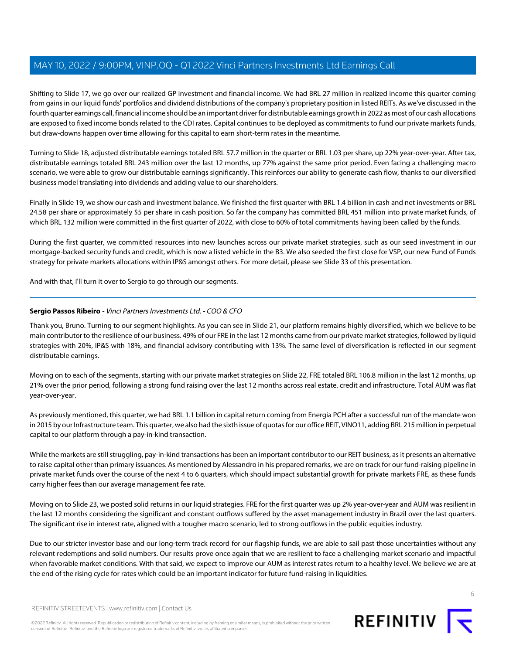Shifting to Slide 17, we go over our realized GP investment and financial income. We had BRL 27 million in realized income this quarter coming from gains in our liquid funds' portfolios and dividend distributions of the company's proprietary position in listed REITs. As we've discussed in the fourth quarter earnings call, financial income should be an important driver for distributable earnings growth in 2022 as most of our cash allocations are exposed to fixed income bonds related to the CDI rates. Capital continues to be deployed as commitments to fund our private markets funds, but draw-downs happen over time allowing for this capital to earn short-term rates in the meantime.

Turning to Slide 18, adjusted distributable earnings totaled BRL 57.7 million in the quarter or BRL 1.03 per share, up 22% year-over-year. After tax, distributable earnings totaled BRL 243 million over the last 12 months, up 77% against the same prior period. Even facing a challenging macro scenario, we were able to grow our distributable earnings significantly. This reinforces our ability to generate cash flow, thanks to our diversified business model translating into dividends and adding value to our shareholders.

Finally in Slide 19, we show our cash and investment balance. We finished the first quarter with BRL 1.4 billion in cash and net investments or BRL 24.58 per share or approximately \$5 per share in cash position. So far the company has committed BRL 451 million into private market funds, of which BRL 132 million were committed in the first quarter of 2022, with close to 60% of total commitments having been called by the funds.

During the first quarter, we committed resources into new launches across our private market strategies, such as our seed investment in our mortgage-backed security funds and credit, which is now a listed vehicle in the B3. We also seeded the first close for VSP, our new Fund of Funds strategy for private markets allocations within IP&S amongst others. For more detail, please see Slide 33 of this presentation.

<span id="page-5-0"></span>And with that, I'll turn it over to Sergio to go through our segments.

### **Sergio Passos Ribeiro** - Vinci Partners Investments Ltd. - COO & CFO

Thank you, Bruno. Turning to our segment highlights. As you can see in Slide 21, our platform remains highly diversified, which we believe to be main contributor to the resilience of our business. 49% of our FRE in the last 12 months came from our private market strategies, followed by liquid strategies with 20%, IP&S with 18%, and financial advisory contributing with 13%. The same level of diversification is reflected in our segment distributable earnings.

Moving on to each of the segments, starting with our private market strategies on Slide 22, FRE totaled BRL 106.8 million in the last 12 months, up 21% over the prior period, following a strong fund raising over the last 12 months across real estate, credit and infrastructure. Total AUM was flat year-over-year.

As previously mentioned, this quarter, we had BRL 1.1 billion in capital return coming from Energia PCH after a successful run of the mandate won in 2015 by our Infrastructure team. This quarter, we also had the sixth issue of quotas for our office REIT, VINO11, adding BRL 215 million in perpetual capital to our platform through a pay-in-kind transaction.

While the markets are still struggling, pay-in-kind transactions has been an important contributor to our REIT business, as it presents an alternative to raise capital other than primary issuances. As mentioned by Alessandro in his prepared remarks, we are on track for our fund-raising pipeline in private market funds over the course of the next 4 to 6 quarters, which should impact substantial growth for private markets FRE, as these funds carry higher fees than our average management fee rate.

Moving on to Slide 23, we posted solid returns in our liquid strategies. FRE for the first quarter was up 2% year-over-year and AUM was resilient in the last 12 months considering the significant and constant outflows suffered by the asset management industry in Brazil over the last quarters. The significant rise in interest rate, aligned with a tougher macro scenario, led to strong outflows in the public equities industry.

Due to our stricter investor base and our long-term track record for our flagship funds, we are able to sail past those uncertainties without any relevant redemptions and solid numbers. Our results prove once again that we are resilient to face a challenging market scenario and impactful when favorable market conditions. With that said, we expect to improve our AUM as interest rates return to a healthy level. We believe we are at the end of the rising cycle for rates which could be an important indicator for future fund-raising in liquidities.



REFINITIV STREETEVENTS | [www.refinitiv.com](https://www.refinitiv.com/) | [Contact Us](https://www.refinitiv.com/en/contact-us)

©2022 Refinitiv. All rights reserved. Republication or redistribution of Refinitiv content, including by framing or similar means, is prohibited without the prior written consent of Refinitiv. 'Refinitiv' and the Refinitiv logo are registered trademarks of Refinitiv and its affiliated companies.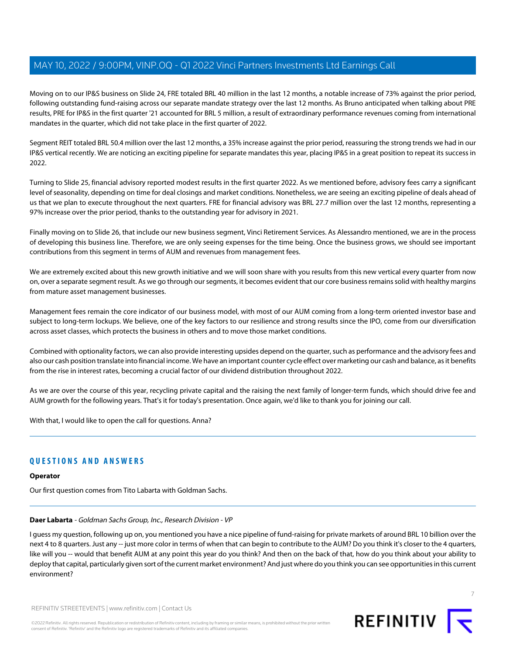Moving on to our IP&S business on Slide 24, FRE totaled BRL 40 million in the last 12 months, a notable increase of 73% against the prior period, following outstanding fund-raising across our separate mandate strategy over the last 12 months. As Bruno anticipated when talking about PRE results, PRE for IP&S in the first quarter '21 accounted for BRL 5 million, a result of extraordinary performance revenues coming from international mandates in the quarter, which did not take place in the first quarter of 2022.

Segment REIT totaled BRL 50.4 million over the last 12 months, a 35% increase against the prior period, reassuring the strong trends we had in our IP&S vertical recently. We are noticing an exciting pipeline for separate mandates this year, placing IP&S in a great position to repeat its success in 2022.

Turning to Slide 25, financial advisory reported modest results in the first quarter 2022. As we mentioned before, advisory fees carry a significant level of seasonality, depending on time for deal closings and market conditions. Nonetheless, we are seeing an exciting pipeline of deals ahead of us that we plan to execute throughout the next quarters. FRE for financial advisory was BRL 27.7 million over the last 12 months, representing a 97% increase over the prior period, thanks to the outstanding year for advisory in 2021.

Finally moving on to Slide 26, that include our new business segment, Vinci Retirement Services. As Alessandro mentioned, we are in the process of developing this business line. Therefore, we are only seeing expenses for the time being. Once the business grows, we should see important contributions from this segment in terms of AUM and revenues from management fees.

We are extremely excited about this new growth initiative and we will soon share with you results from this new vertical every quarter from now on, over a separate segment result. As we go through our segments, it becomes evident that our core business remains solid with healthy margins from mature asset management businesses.

Management fees remain the core indicator of our business model, with most of our AUM coming from a long-term oriented investor base and subject to long-term lockups. We believe, one of the key factors to our resilience and strong results since the IPO, come from our diversification across asset classes, which protects the business in others and to move those market conditions.

Combined with optionality factors, we can also provide interesting upsides depend on the quarter, such as performance and the advisory fees and also our cash position translate into financial income. We have an important counter cycle effect over marketing our cash and balance, as it benefits from the rise in interest rates, becoming a crucial factor of our dividend distribution throughout 2022.

As we are over the course of this year, recycling private capital and the raising the next family of longer-term funds, which should drive fee and AUM growth for the following years. That's it for today's presentation. Once again, we'd like to thank you for joining our call.

With that, I would like to open the call for questions. Anna?

### **QUESTIONS AND ANSWERS**

### <span id="page-6-0"></span>**Operator**

Our first question comes from Tito Labarta with Goldman Sachs.

### **Daer Labarta** - Goldman Sachs Group, Inc., Research Division - VP

I guess my question, following up on, you mentioned you have a nice pipeline of fund-raising for private markets of around BRL 10 billion over the next 4 to 8 quarters. Just any -- just more color in terms of when that can begin to contribute to the AUM? Do you think it's closer to the 4 quarters, like will you -- would that benefit AUM at any point this year do you think? And then on the back of that, how do you think about your ability to deploy that capital, particularly given sort of the current market environment? And just where do you think you can see opportunities in this current environment?



REFINITIV STREETEVENTS | [www.refinitiv.com](https://www.refinitiv.com/) | [Contact Us](https://www.refinitiv.com/en/contact-us)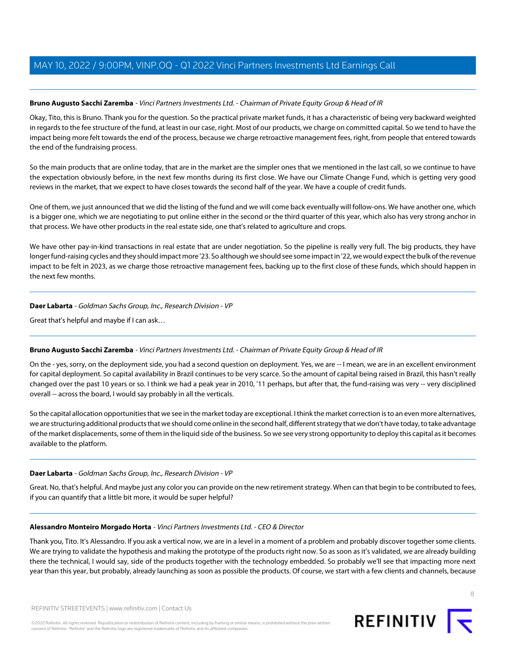### **Bruno Augusto Sacchi Zaremba** - Vinci Partners Investments Ltd. - Chairman of Private Equity Group & Head of IR

Okay, Tito, this is Bruno. Thank you for the question. So the practical private market funds, it has a characteristic of being very backward weighted in regards to the fee structure of the fund, at least in our case, right. Most of our products, we charge on committed capital. So we tend to have the impact being more felt towards the end of the process, because we charge retroactive management fees, right, from people that entered towards the end of the fundraising process.

So the main products that are online today, that are in the market are the simpler ones that we mentioned in the last call, so we continue to have the expectation obviously before, in the next few months during its first close. We have our Climate Change Fund, which is getting very good reviews in the market, that we expect to have closes towards the second half of the year. We have a couple of credit funds.

One of them, we just announced that we did the listing of the fund and we will come back eventually will follow-ons. We have another one, which is a bigger one, which we are negotiating to put online either in the second or the third quarter of this year, which also has very strong anchor in that process. We have other products in the real estate side, one that's related to agriculture and crops.

We have other pay-in-kind transactions in real estate that are under negotiation. So the pipeline is really very full. The big products, they have longer fund-raising cycles and they should impact more '23. So although we should see some impact in '22, we would expect the bulk of the revenue impact to be felt in 2023, as we charge those retroactive management fees, backing up to the first close of these funds, which should happen in the next few months.

#### **Daer Labarta** - Goldman Sachs Group, Inc., Research Division - VP

Great that's helpful and maybe if I can ask…

### **Bruno Augusto Sacchi Zaremba** - Vinci Partners Investments Ltd. - Chairman of Private Equity Group & Head of IR

On the - yes, sorry, on the deployment side, you had a second question on deployment. Yes, we are -- I mean, we are in an excellent environment for capital deployment. So capital availability in Brazil continues to be very scarce. So the amount of capital being raised in Brazil, this hasn't really changed over the past 10 years or so. I think we had a peak year in 2010, '11 perhaps, but after that, the fund-raising was very -- very disciplined overall -- across the board, I would say probably in all the verticals.

So the capital allocation opportunities that we see in the market today are exceptional. I think the market correction is to an even more alternatives, we are structuring additional products that we should come online in the second half, different strategy that we don't have today, to take advantage of the market displacements, some of them in the liquid side of the business. So we see very strong opportunity to deploy this capital as it becomes available to the platform.

#### **Daer Labarta** - Goldman Sachs Group, Inc., Research Division - VP

Great. No, that's helpful. And maybe just any color you can provide on the new retirement strategy. When can that begin to be contributed to fees, if you can quantify that a little bit more, it would be super helpful?

#### **Alessandro Monteiro Morgado Horta** - Vinci Partners Investments Ltd. - CEO & Director

Thank you, Tito. It's Alessandro. If you ask a vertical now, we are in a level in a moment of a problem and probably discover together some clients. We are trying to validate the hypothesis and making the prototype of the products right now. So as soon as it's validated, we are already building there the technical, I would say, side of the products together with the technology embedded. So probably we'll see that impacting more next year than this year, but probably, already launching as soon as possible the products. Of course, we start with a few clients and channels, because

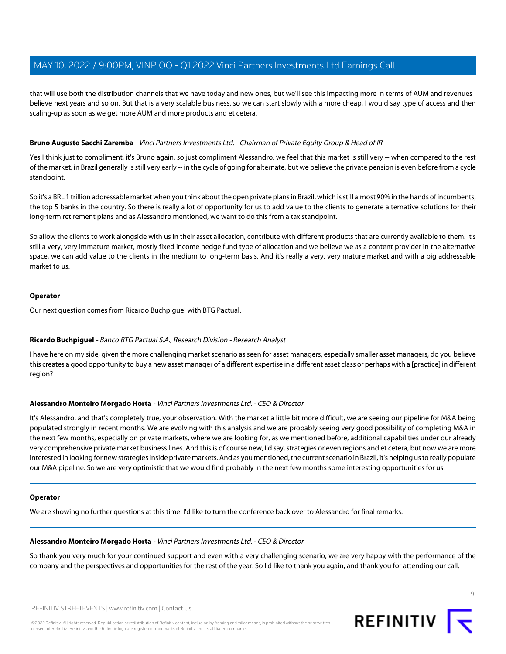that will use both the distribution channels that we have today and new ones, but we'll see this impacting more in terms of AUM and revenues I believe next years and so on. But that is a very scalable business, so we can start slowly with a more cheap, I would say type of access and then scaling-up as soon as we get more AUM and more products and et cetera.

### **Bruno Augusto Sacchi Zaremba** - Vinci Partners Investments Ltd. - Chairman of Private Equity Group & Head of IR

Yes I think just to compliment, it's Bruno again, so just compliment Alessandro, we feel that this market is still very -- when compared to the rest of the market, in Brazil generally is still very early -- in the cycle of going for alternate, but we believe the private pension is even before from a cycle standpoint.

So it's a BRL 1 trillion addressable market when you think about the open private plans in Brazil, which is still almost 90% in the hands of incumbents, the top 5 banks in the country. So there is really a lot of opportunity for us to add value to the clients to generate alternative solutions for their long-term retirement plans and as Alessandro mentioned, we want to do this from a tax standpoint.

So allow the clients to work alongside with us in their asset allocation, contribute with different products that are currently available to them. It's still a very, very immature market, mostly fixed income hedge fund type of allocation and we believe we as a content provider in the alternative space, we can add value to the clients in the medium to long-term basis. And it's really a very, very mature market and with a big addressable market to us.

### **Operator**

<span id="page-8-0"></span>Our next question comes from Ricardo Buchpiguel with BTG Pactual.

### **Ricardo Buchpiguel** - Banco BTG Pactual S.A., Research Division - Research Analyst

I have here on my side, given the more challenging market scenario as seen for asset managers, especially smaller asset managers, do you believe this creates a good opportunity to buy a new asset manager of a different expertise in a different asset class or perhaps with a [practice] in different region?

### **Alessandro Monteiro Morgado Horta** - Vinci Partners Investments Ltd. - CEO & Director

It's Alessandro, and that's completely true, your observation. With the market a little bit more difficult, we are seeing our pipeline for M&A being populated strongly in recent months. We are evolving with this analysis and we are probably seeing very good possibility of completing M&A in the next few months, especially on private markets, where we are looking for, as we mentioned before, additional capabilities under our already very comprehensive private market business lines. And this is of course new, I'd say, strategies or even regions and et cetera, but now we are more interested in looking for new strategies inside private markets. And as you mentioned, the current scenario in Brazil, it's helping us to really populate our M&A pipeline. So we are very optimistic that we would find probably in the next few months some interesting opportunities for us.

### **Operator**

We are showing no further questions at this time. I'd like to turn the conference back over to Alessandro for final remarks.

### **Alessandro Monteiro Morgado Horta** - Vinci Partners Investments Ltd. - CEO & Director

So thank you very much for your continued support and even with a very challenging scenario, we are very happy with the performance of the company and the perspectives and opportunities for the rest of the year. So I'd like to thank you again, and thank you for attending our call.